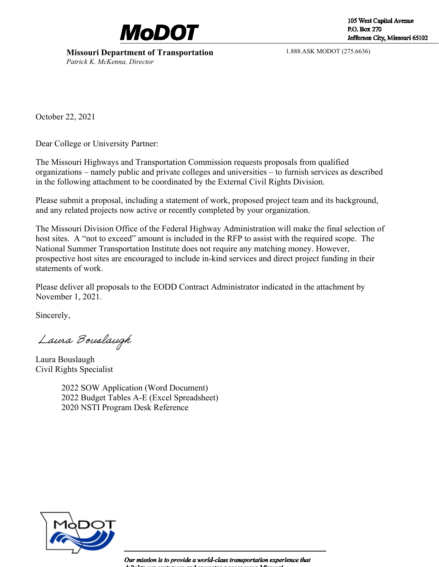

# **Missouri Department of Transportation**

*Patrick K. McKenna, Director*

1.888.ASK MODOT (275.6636)

October 22, 2021

Dear College or University Partner:

The Missouri Highways and Transportation Commission requests proposals from qualified organizations – namely public and private colleges and universities – to furnish services as described in the following attachment to be coordinated by the External Civil Rights Division.

Please submit a proposal, including a statement of work, proposed project team and its background, and any related projects now active or recently completed by your organization.

The Missouri Division Office of the Federal Highway Administration will make the final selection of host sites. A "not to exceed" amount is included in the RFP to assist with the required scope. The National Summer Transportation Institute does not require any matching money. However, prospective host sites are encouraged to include in-kind services and direct project funding in their statements of work.

Please deliver all proposals to the EODD Contract Administrator indicated in the attachment by November 1, 2021.

Sincerely,

Laura Bouslaugh

Laura Bouslaugh Civil Rights Specialist

2022 SOW Application (Word Document) 2022 Budget Tables A-E (Excel Spreadsheet) 2020 NSTI Program Desk Reference



Our mission is to provide a world-class transportation experience that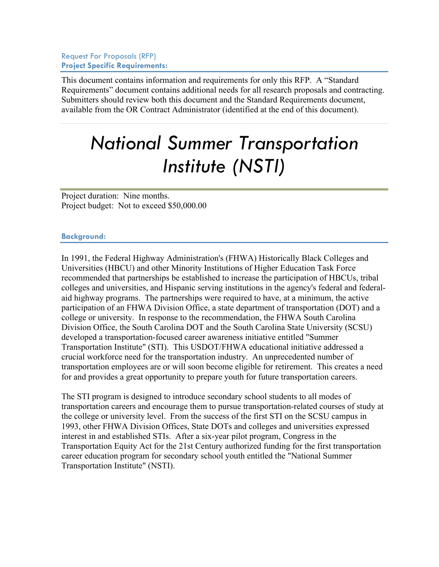Request For Proposals (RFP) **Project Specific Requirements:**

This document contains information and requirements for only this RFP. A "Standard Requirements" document contains additional needs for all research proposals and contracting. Submitters should review both this document and the Standard Requirements document, available from the OR Contract Administrator (identified at the end of this document).

# *National Summer Transportation Institute (NSTI)*

Project duration: Nine months. Project budget: Not to exceed \$50,000.00

#### **Background:**

In 1991, the Federal Highway Administration's (FHWA) Historically Black Colleges and Universities (HBCU) and other Minority Institutions of Higher Education Task Force recommended that partnerships be established to increase the participation of HBCUs, tribal colleges and universities, and Hispanic serving institutions in the agency's federal and federalaid highway programs. The partnerships were required to have, at a minimum, the active participation of an FHWA Division Office, a state department of transportation (DOT) and a college or university. In response to the recommendation, the FHWA South Carolina Division Office, the South Carolina DOT and the South Carolina State University (SCSU) developed a transportation-focused career awareness initiative entitled "Summer Transportation Institute" (STI). This USDOT/FHWA educational initiative addressed a crucial workforce need for the transportation industry. An unprecedented number of transportation employees are or will soon become eligible for retirement. This creates a need for and provides a great opportunity to prepare youth for future transportation careers.

The STI program is designed to introduce secondary school students to all modes of transportation careers and encourage them to pursue transportation-related courses of study at the college or university level. From the success of the first STI on the SCSU campus in 1993, other FHWA Division Offices, State DOTs and colleges and universities expressed interest in and established STIs. After a six-year pilot program, Congress in the Transportation Equity Act for the 21st Century authorized funding for the first transportation career education program for secondary school youth entitled the "National Summer Transportation Institute" (NSTI).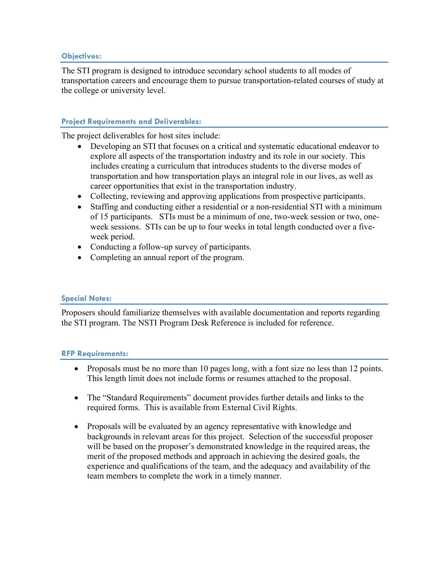# **Objectives:**

The STI program is designed to introduce secondary school students to all modes of transportation careers and encourage them to pursue transportation-related courses of study at the college or university level.

# **Project Requirements and Deliverables:**

The project deliverables for host sites include:

- Developing an STI that focuses on a critical and systematic educational endeavor to explore all aspects of the transportation industry and its role in our society. This includes creating a curriculum that introduces students to the diverse modes of transportation and how transportation plays an integral role in our lives, as well as career opportunities that exist in the transportation industry.
- Collecting, reviewing and approving applications from prospective participants.
- Staffing and conducting either a residential or a non-residential STI with a minimum of 15 participants. STIs must be a minimum of one, two-week session or two, oneweek sessions. STIs can be up to four weeks in total length conducted over a fiveweek period.
- Conducting a follow-up survey of participants.
- Completing an annual report of the program.

# **Special Notes:**

Proposers should familiarize themselves with available documentation and reports regarding the STI program. The NSTI Program Desk Reference is included for reference.

# **RFP Requirements:**

- Proposals must be no more than 10 pages long, with a font size no less than 12 points. This length limit does not include forms or resumes attached to the proposal.
- The "Standard Requirements" document provides further details and links to the required forms. This is available from External Civil Rights.
- Proposals will be evaluated by an agency representative with knowledge and backgrounds in relevant areas for this project. Selection of the successful proposer will be based on the proposer's demonstrated knowledge in the required areas, the merit of the proposed methods and approach in achieving the desired goals, the experience and qualifications of the team, and the adequacy and availability of the team members to complete the work in a timely manner.